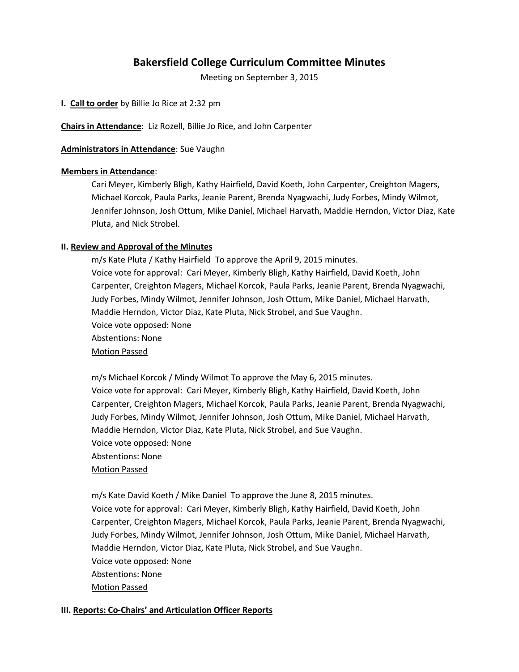# **Bakersfield College Curriculum Committee Minutes**

Meeting on September 3, 2015

**I. Call to order** by Billie Jo Rice at 2:32 pm

**Chairs in Attendance**: Liz Rozell, Billie Jo Rice, and John Carpenter

**Administrators in Attendance**: Sue Vaughn

## **Members in Attendance**:

Cari Meyer, Kimberly Bligh, Kathy Hairfield, David Koeth, John Carpenter, Creighton Magers, Michael Korcok, Paula Parks, Jeanie Parent, Brenda Nyagwachi, Judy Forbes, Mindy Wilmot, Jennifer Johnson, Josh Ottum, Mike Daniel, Michael Harvath, Maddie Herndon, Victor Diaz, Kate Pluta, and Nick Strobel.

## **II. Review and Approval of the Minutes**

m/s Kate Pluta / Kathy Hairfield To approve the April 9, 2015 minutes. Voice vote for approval: Cari Meyer, Kimberly Bligh, Kathy Hairfield, David Koeth, John Carpenter, Creighton Magers, Michael Korcok, Paula Parks, Jeanie Parent, Brenda Nyagwachi, Judy Forbes, Mindy Wilmot, Jennifer Johnson, Josh Ottum, Mike Daniel, Michael Harvath, Maddie Herndon, Victor Diaz, Kate Pluta, Nick Strobel, and Sue Vaughn. Voice vote opposed: None Abstentions: None Motion Passed

m/s Michael Korcok / Mindy Wilmot To approve the May 6, 2015 minutes. Voice vote for approval: Cari Meyer, Kimberly Bligh, Kathy Hairfield, David Koeth, John Carpenter, Creighton Magers, Michael Korcok, Paula Parks, Jeanie Parent, Brenda Nyagwachi, Judy Forbes, Mindy Wilmot, Jennifer Johnson, Josh Ottum, Mike Daniel, Michael Harvath, Maddie Herndon, Victor Diaz, Kate Pluta, Nick Strobel, and Sue Vaughn. Voice vote opposed: None Abstentions: None Motion Passed

m/s Kate David Koeth / Mike Daniel To approve the June 8, 2015 minutes. Voice vote for approval: Cari Meyer, Kimberly Bligh, Kathy Hairfield, David Koeth, John Carpenter, Creighton Magers, Michael Korcok, Paula Parks, Jeanie Parent, Brenda Nyagwachi, Judy Forbes, Mindy Wilmot, Jennifer Johnson, Josh Ottum, Mike Daniel, Michael Harvath, Maddie Herndon, Victor Diaz, Kate Pluta, Nick Strobel, and Sue Vaughn. Voice vote opposed: None Abstentions: None Motion Passed

## **III. Reports: Co-Chairs' and Articulation Officer Reports**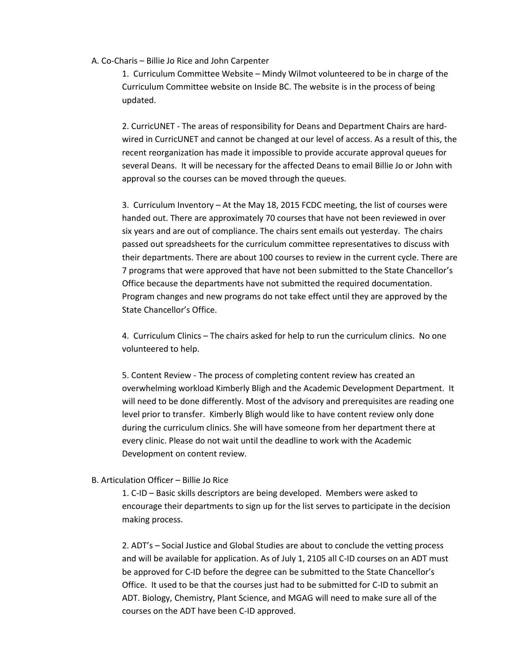#### A. Co-Charis – Billie Jo Rice and John Carpenter

1. Curriculum Committee Website – Mindy Wilmot volunteered to be in charge of the Curriculum Committee website on Inside BC. The website is in the process of being updated.

2. CurricUNET - The areas of responsibility for Deans and Department Chairs are hardwired in CurricUNET and cannot be changed at our level of access. As a result of this, the recent reorganization has made it impossible to provide accurate approval queues for several Deans. It will be necessary for the affected Deans to email Billie Jo or John with approval so the courses can be moved through the queues.

3. Curriculum Inventory – At the May 18, 2015 FCDC meeting, the list of courses were handed out. There are approximately 70 courses that have not been reviewed in over six years and are out of compliance. The chairs sent emails out yesterday. The chairs passed out spreadsheets for the curriculum committee representatives to discuss with their departments. There are about 100 courses to review in the current cycle. There are 7 programs that were approved that have not been submitted to the State Chancellor's Office because the departments have not submitted the required documentation. Program changes and new programs do not take effect until they are approved by the State Chancellor's Office.

4. Curriculum Clinics – The chairs asked for help to run the curriculum clinics. No one volunteered to help.

5. Content Review - The process of completing content review has created an overwhelming workload Kimberly Bligh and the Academic Development Department. It will need to be done differently. Most of the advisory and prerequisites are reading one level prior to transfer. Kimberly Bligh would like to have content review only done during the curriculum clinics. She will have someone from her department there at every clinic. Please do not wait until the deadline to work with the Academic Development on content review.

#### B. Articulation Officer – Billie Jo Rice

1. C-ID – Basic skills descriptors are being developed. Members were asked to encourage their departments to sign up for the list serves to participate in the decision making process.

2. ADT's – Social Justice and Global Studies are about to conclude the vetting process and will be available for application. As of July 1, 2105 all C-ID courses on an ADT must be approved for C-ID before the degree can be submitted to the State Chancellor's Office. It used to be that the courses just had to be submitted for C-ID to submit an ADT. Biology, Chemistry, Plant Science, and MGAG will need to make sure all of the courses on the ADT have been C-ID approved.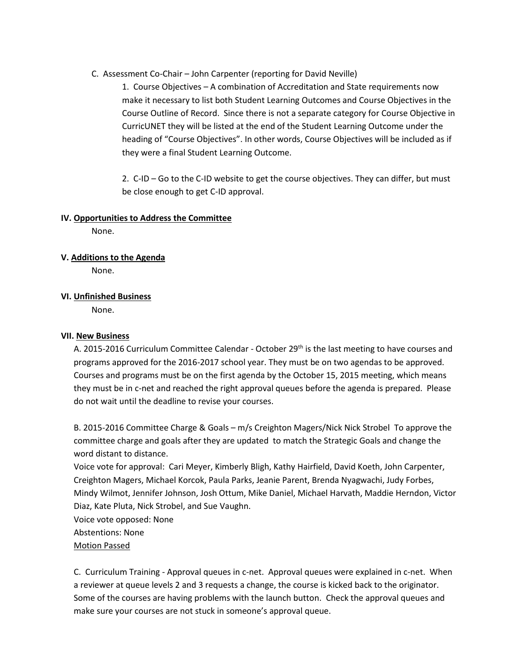C. Assessment Co-Chair – John Carpenter (reporting for David Neville)

1. Course Objectives – A combination of Accreditation and State requirements now make it necessary to list both Student Learning Outcomes and Course Objectives in the Course Outline of Record. Since there is not a separate category for Course Objective in CurricUNET they will be listed at the end of the Student Learning Outcome under the heading of "Course Objectives". In other words, Course Objectives will be included as if they were a final Student Learning Outcome.

2. C-ID – Go to the C-ID website to get the course objectives. They can differ, but must be close enough to get C-ID approval.

### **IV. Opportunities to Address the Committee**

None.

**V. Additions to the Agenda**

None.

**VI. Unfinished Business**

None.

### **VII. New Business**

A. 2015-2016 Curriculum Committee Calendar - October 29<sup>th</sup> is the last meeting to have courses and programs approved for the 2016-2017 school year. They must be on two agendas to be approved. Courses and programs must be on the first agenda by the October 15, 2015 meeting, which means they must be in c-net and reached the right approval queues before the agenda is prepared. Please do not wait until the deadline to revise your courses.

B. 2015-2016 Committee Charge & Goals – m/s Creighton Magers/Nick Nick Strobel To approve the committee charge and goals after they are updated to match the Strategic Goals and change the word distant to distance.

Voice vote for approval: Cari Meyer, Kimberly Bligh, Kathy Hairfield, David Koeth, John Carpenter, Creighton Magers, Michael Korcok, Paula Parks, Jeanie Parent, Brenda Nyagwachi, Judy Forbes, Mindy Wilmot, Jennifer Johnson, Josh Ottum, Mike Daniel, Michael Harvath, Maddie Herndon, Victor Diaz, Kate Pluta, Nick Strobel, and Sue Vaughn.

Voice vote opposed: None

Abstentions: None

Motion Passed

C. Curriculum Training - Approval queues in c-net. Approval queues were explained in c-net. When a reviewer at queue levels 2 and 3 requests a change, the course is kicked back to the originator. Some of the courses are having problems with the launch button. Check the approval queues and make sure your courses are not stuck in someone's approval queue.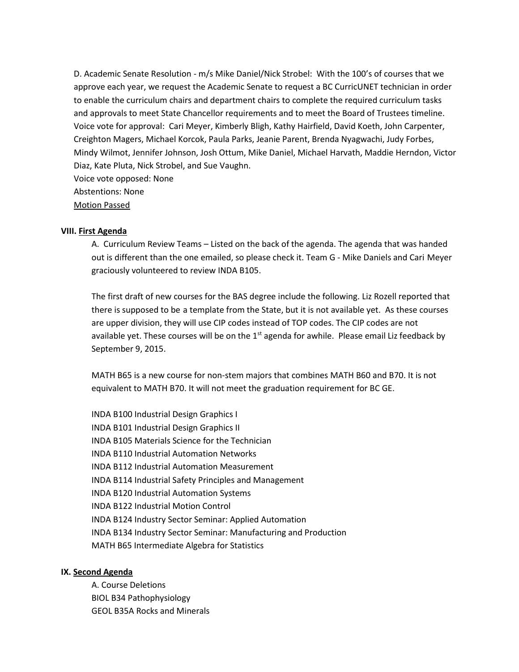D. Academic Senate Resolution - m/s Mike Daniel/Nick Strobel: With the 100's of courses that we approve each year, we request the Academic Senate to request a BC CurricUNET technician in order to enable the curriculum chairs and department chairs to complete the required curriculum tasks and approvals to meet State Chancellor requirements and to meet the Board of Trustees timeline. Voice vote for approval: Cari Meyer, Kimberly Bligh, Kathy Hairfield, David Koeth, John Carpenter, Creighton Magers, Michael Korcok, Paula Parks, Jeanie Parent, Brenda Nyagwachi, Judy Forbes, Mindy Wilmot, Jennifer Johnson, Josh Ottum, Mike Daniel, Michael Harvath, Maddie Herndon, Victor Diaz, Kate Pluta, Nick Strobel, and Sue Vaughn.

Voice vote opposed: None Abstentions: None

Motion Passed

## **VIII. First Agenda**

A. Curriculum Review Teams – Listed on the back of the agenda. The agenda that was handed out is different than the one emailed, so please check it. Team G - Mike Daniels and Cari Meyer graciously volunteered to review INDA B105.

The first draft of new courses for the BAS degree include the following. Liz Rozell reported that there is supposed to be a template from the State, but it is not available yet. As these courses are upper division, they will use CIP codes instead of TOP codes. The CIP codes are not available yet. These courses will be on the  $1<sup>st</sup>$  agenda for awhile. Please email Liz feedback by September 9, 2015.

MATH B65 is a new course for non-stem majors that combines MATH B60 and B70. It is not equivalent to MATH B70. It will not meet the graduation requirement for BC GE.

INDA B100 Industrial Design Graphics I INDA B101 Industrial Design Graphics II INDA B105 Materials Science for the Technician INDA B110 Industrial Automation Networks INDA B112 Industrial Automation Measurement INDA B114 Industrial Safety Principles and Management INDA B120 Industrial Automation Systems INDA B122 Industrial Motion Control INDA B124 Industry Sector Seminar: Applied Automation INDA B134 Industry Sector Seminar: Manufacturing and Production MATH B65 Intermediate Algebra for Statistics

### **IX. Second Agenda**

 A. Course Deletions BIOL B34 Pathophysiology GEOL B35A Rocks and Minerals